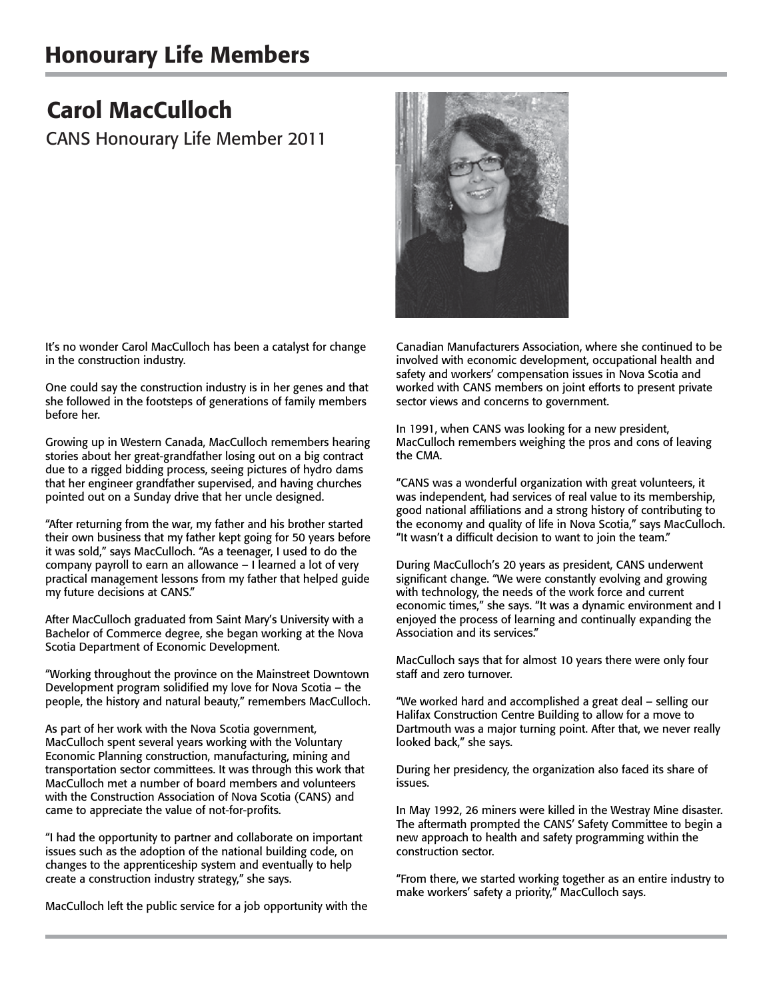## Honourary Life Members

## Carol MacCulloch

CANS Honourary Life Member 2011

It's no wonder Carol MacCulloch has been a catalyst for change in the construction industry.

One could say the construction industry is in her genes and that she followed in the footsteps of generations of family members before her.

Growing up in Western Canada, MacCulloch remembers hearing stories about her great-grandfather losing out on a big contract due to a rigged bidding process, seeing pictures of hydro dams that her engineer grandfather supervised, and having churches pointed out on a Sunday drive that her uncle designed.

"After returning from the war, my father and his brother started their own business that my father kept going for 50 years before it was sold," says MacCulloch. "As a teenager, I used to do the company payroll to earn an allowance – I learned a lot of very practical management lessons from my father that helped guide my future decisions at CANS."

After MacCulloch graduated from Saint Mary's University with a Bachelor of Commerce degree, she began working at the Nova Scotia Department of Economic Development.

"Working throughout the province on the Mainstreet Downtown Development program solidified my love for Nova Scotia – the people, the history and natural beauty," remembers MacCulloch.

As part of her work with the Nova Scotia government, MacCulloch spent several years working with the Voluntary Economic Planning construction, manufacturing, mining and transportation sector committees. It was through this work that MacCulloch met a number of board members and volunteers with the Construction Association of Nova Scotia (CANS) and came to appreciate the value of not-for-profits.

"I had the opportunity to partner and collaborate on important issues such as the adoption of the national building code, on changes to the apprenticeship system and eventually to help create a construction industry strategy," she says.

MacCulloch left the public service for a job opportunity with the

Canadian Manufacturers Association, where she continued to be involved with economic development, occupational health and safety and workers' compensation issues in Nova Scotia and worked with CANS members on joint efforts to present private sector views and concerns to government.

In 1991, when CANS was looking for a new president, MacCulloch remembers weighing the pros and cons of leaving the CMA.

"CANS was a wonderful organization with great volunteers, it was independent, had services of real value to its membership, good national affiliations and a strong history of contributing to the economy and quality of life in Nova Scotia," says MacCulloch. "It wasn't a difficult decision to want to join the team."

During MacCulloch's 20 years as president, CANS underwent significant change. "We were constantly evolving and growing with technology, the needs of the work force and current economic times," she says. "It was a dynamic environment and I enjoyed the process of learning and continually expanding the Association and its services."

MacCulloch says that for almost 10 years there were only four staff and zero turnover.

"We worked hard and accomplished a great deal – selling our Halifax Construction Centre Building to allow for a move to Dartmouth was a major turning point. After that, we never really looked back," she says.

During her presidency, the organization also faced its share of issues.

In May 1992, 26 miners were killed in the Westray Mine disaster. The aftermath prompted the CANS' Safety Committee to begin a new approach to health and safety programming within the construction sector.

"From there, we started working together as an entire industry to make workers' safety a priority," MacCulloch says.